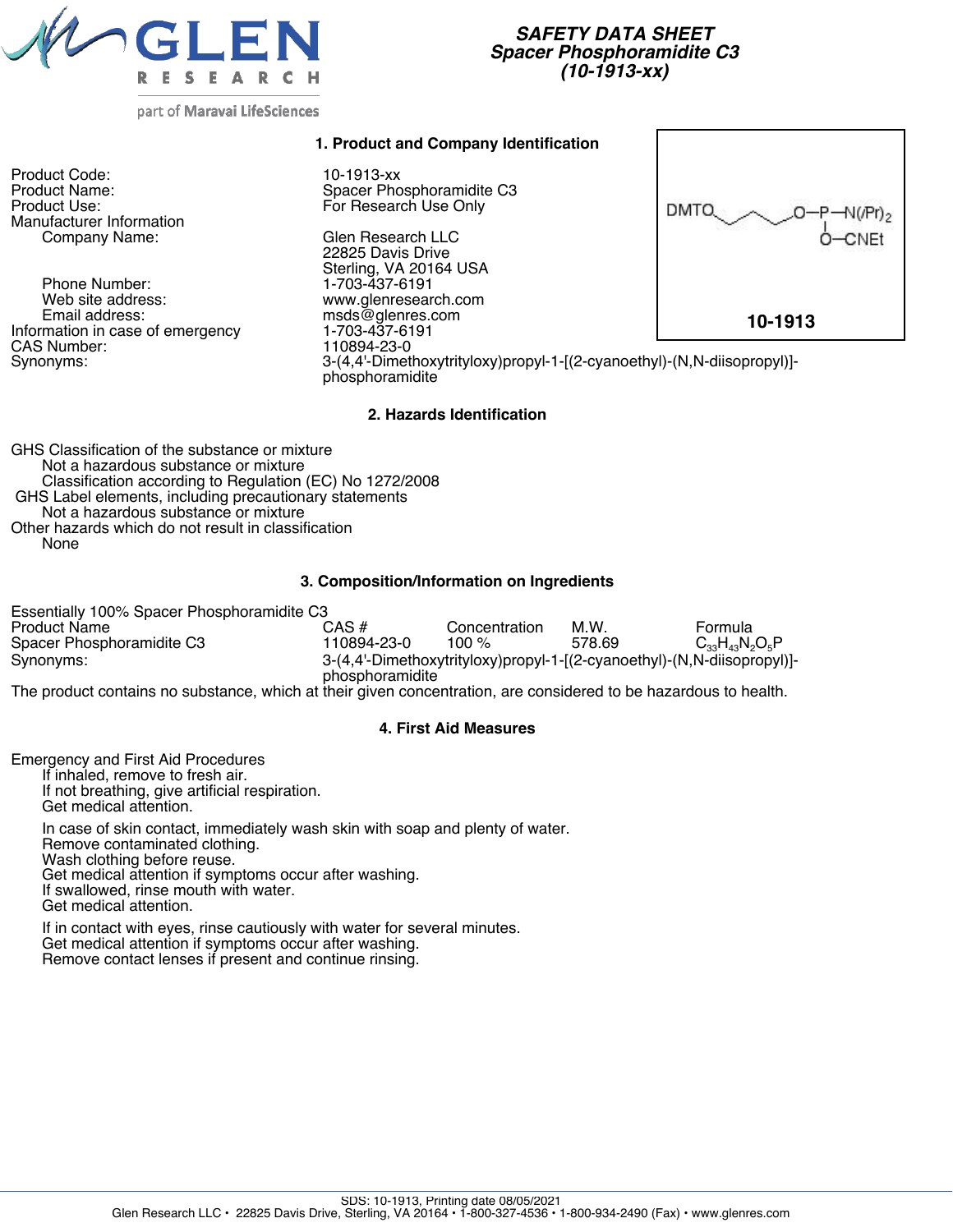

part of Maravai LifeSciences

Product Code: 10-1913-xx Manufacturer Information<br>Company Name:

Phone Number: 1-703-437-6191<br>Web site address: 1-8 www.glenresear Web site address: www.glenresearch.com<br>
Email address: maximum msds@glenres.com Information in case of emergency diamondulary 1-703-437-61<br>CAS Number: 110894-23-0 CAS Number:

### **1. Product and Company Identification**

Product Name: Spacer Phosphoramidite C3<br>
Product Use: Spacer Spacer Controller Spacer Controller Spacer Controller C3 For Research Use Only

> Glen Research LLC 22825 Davis Drive Sterling, VA 20164 USA msds@glenres.com<br>1-703-437-6191



Synonyms:  $3-(4,4'-\text{Dimension})$  3-(4,4'-Dimethoxytrityloxy)propyl-1-[(2-cyanoethyl)-(N,N-diisopropyl)]phosphoramidite

*SAFETY DATA SHEET Spacer Phosphoramidite C3 (10-1913-xx)*

#### **2. Hazards Identification**

GHS Classification of the substance or mixture Not a hazardous substance or mixture Classification according to Regulation (EC) No 1272/2008 GHS Label elements, including precautionary statements Not a hazardous substance or mixture Other hazards which do not result in classification None

#### **3. Composition/Information on Ingredients**

Essentially 100% Spacer Phosphoramidite C3 Product Name CAS # CAS # Concentration M.W. Formula<br>
Spacer Phosphoramidite C3 110894-23-0 100 % 578.69 C<sub>33</sub>H<sub>43</sub>N<sub>2</sub>O<sub>5</sub>P Spacer Phosphoramidite C3<br>Synonyms: 3-(4,4'-Dimethoxytrityloxy)propyl-1-[(2-cyanoethyl)-(N,N-diisopropyl)]phosphoramidite

The product contains no substance, which at their given concentration, are considered to be hazardous to health.

#### **4. First Aid Measures**

Emergency and First Aid Procedures If inhaled, remove to fresh air. If not breathing, give artificial respiration. Get medical attention. In case of skin contact, immediately wash skin with soap and plenty of water. Remove contaminated clothing. Wash clothing before reuse. Get medical attention if symptoms occur after washing. If swallowed, rinse mouth with water.

Get medical attention.

If in contact with eyes, rinse cautiously with water for several minutes. Get medical attention if symptoms occur after washing. Remove contact lenses if present and continue rinsing.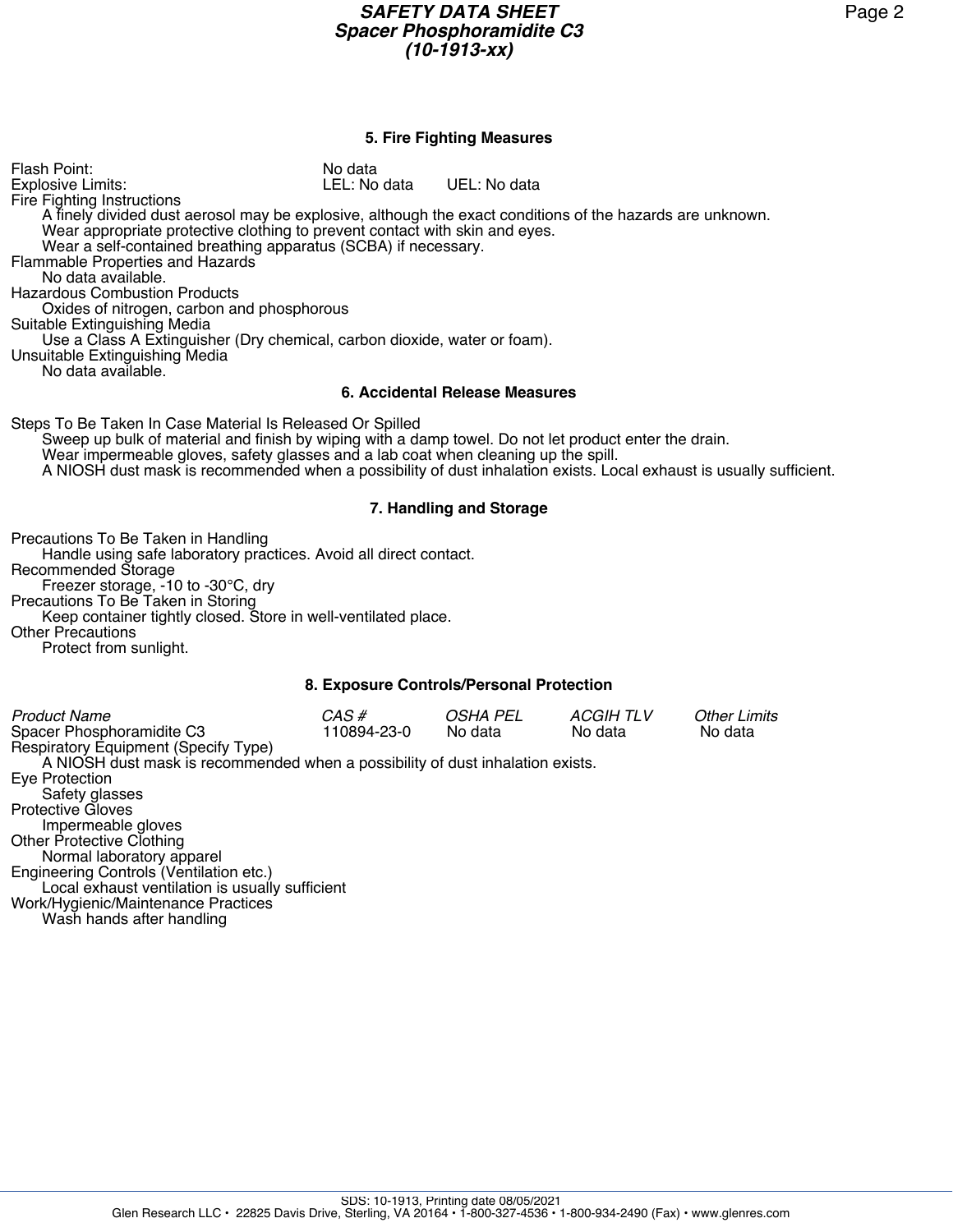### **5. Fire Fighting Measures**

Flash Point: No data Explosive Limits: LEL: No data UEL: No data Fire Fighting Instructions A finely divided dust aerosol may be explosive, although the exact conditions of the hazards are unknown. Wear appropriate protective clothing to prevent contact with skin and eyes. Wear a self-contained breathing apparatus (SCBA) if necessary. Flammable Properties and Hazards No data available. Hazardous Combustion Products Oxides of nitrogen, carbon and phosphorous Suitable Extinguishing Media Use a Class A Extinguisher (Dry chemical, carbon dioxide, water or foam). Unsuitable Extinguishing Media No data available. **6. Accidental Release Measures** Steps To Be Taken In Case Material Is Released Or Spilled Sweep up bulk of material and finish by wiping with a damp towel. Do not let product enter the drain. Wear impermeable gloves, safety glasses and a lab coat when cleaning up the spill. A NIOSH dust mask is recommended when a possibility of dust inhalation exists. Local exhaust is usually sufficient.

## **7. Handling and Storage**

Precautions To Be Taken in Handling Handle using safe laboratory practices. Avoid all direct contact. Recommended Storage Freezer storage, -10 to -30°C, dry Precautions To Be Taken in Storing Keep container tightly closed. Store in well-ventilated place. Other Precautions Protect from sunlight.

### **8. Exposure Controls/Personal Protection**

| <b>Product Name</b>                                                            | CAS #       | OSHA PEL | <i>ACGIH TLV</i> | <b>Other Limits</b> |
|--------------------------------------------------------------------------------|-------------|----------|------------------|---------------------|
| Spacer Phosphoramidite C3                                                      | 110894-23-0 | No data  | No data          | No data             |
| Respiratory Equipment (Specify Type)                                           |             |          |                  |                     |
| A NIOSH dust mask is recommended when a possibility of dust inhalation exists. |             |          |                  |                     |
| Eye Protection                                                                 |             |          |                  |                     |
| Safety glasses                                                                 |             |          |                  |                     |
| <b>Protective Gloves</b>                                                       |             |          |                  |                     |
| Impermeable gloves                                                             |             |          |                  |                     |
| <b>Other Protective Clothing</b>                                               |             |          |                  |                     |
| Normal laboratory apparel                                                      |             |          |                  |                     |
| Engineering Controls (Ventilation etc.)                                        |             |          |                  |                     |
| Local exhaust ventilation is usually sufficient                                |             |          |                  |                     |
| Work/Hygienic/Maintenance Practices                                            |             |          |                  |                     |
| Wash hands after handling                                                      |             |          |                  |                     |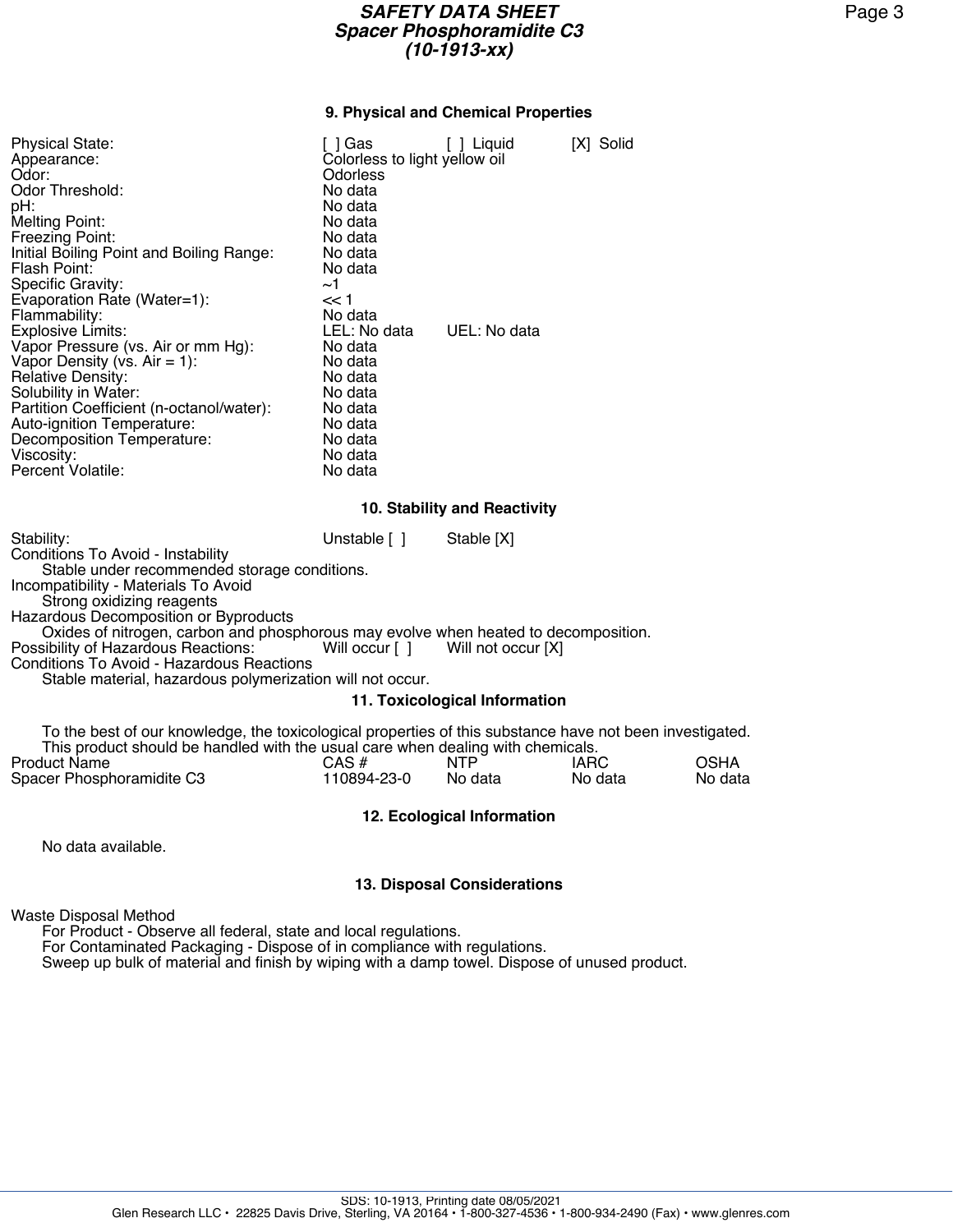## *SAFETY DATA SHEET Spacer Phosphoramidite C3 (10-1913-xx)*

## **9. Physical and Chemical Properties**

| <b>Physical State:</b><br>Appearance:<br>Odor:<br>Odor Threshold:<br>pH:<br>Melting Point:<br>Freezing Point:<br>Initial Boiling Point and Boiling Range:<br>Flash Point:<br>Specific Gravity:<br>Evaporation Rate (Water=1):<br>Flammability:<br>Explosive Limits:<br>Vapor Pressure (vs. Air or mm Hg):<br>Vapor Density (vs. $Air = 1$ ):<br><b>Relative Density:</b><br>Solubility in Water:<br>Partition Coefficient (n-octanol/water):<br>Auto-ignition Temperature:<br>Decomposition Temperature:<br>Viscosity:<br>Percent Volatile: | [ ] Gas<br>Colorless to light yellow oil<br>Odorless<br>No data<br>No data<br>No data<br>No data<br>No data<br>No data<br>~1~<br><< 1<br>No data<br>LEL: No data<br>No data<br>No data<br>No data<br>No data<br>No data<br>No data<br>No data<br>No data<br>No data | [ ] Liquid<br>UEL: No data        | [X] Solid              |                        |
|---------------------------------------------------------------------------------------------------------------------------------------------------------------------------------------------------------------------------------------------------------------------------------------------------------------------------------------------------------------------------------------------------------------------------------------------------------------------------------------------------------------------------------------------|---------------------------------------------------------------------------------------------------------------------------------------------------------------------------------------------------------------------------------------------------------------------|-----------------------------------|------------------------|------------------------|
| 10. Stability and Reactivity                                                                                                                                                                                                                                                                                                                                                                                                                                                                                                                |                                                                                                                                                                                                                                                                     |                                   |                        |                        |
| Stability:<br>Conditions To Avoid - Instability<br>Stable under recommended storage conditions.<br>Incompatibility - Materials To Avoid<br>Strong oxidizing reagents<br>Hazardous Decomposition or Byproducts<br>Oxides of nitrogen, carbon and phosphorous may evolve when heated to decomposition.                                                                                                                                                                                                                                        | Unstable [ ]                                                                                                                                                                                                                                                        | Stable [X]                        |                        |                        |
| Possibility of Hazardous Reactions:<br>Conditions To Avoid - Hazardous Reactions<br>Stable material, hazardous polymerization will not occur.                                                                                                                                                                                                                                                                                                                                                                                               |                                                                                                                                                                                                                                                                     | Will occur [ ] Will not occur [X] |                        |                        |
|                                                                                                                                                                                                                                                                                                                                                                                                                                                                                                                                             |                                                                                                                                                                                                                                                                     | 11. Toxicological Information     |                        |                        |
| To the best of our knowledge, the toxicological properties of this substance have not been investigated.<br>This product should be handled with the usual care when dealing with chemicals.<br><b>Product Name</b><br>Spacer Phosphoramidite C3                                                                                                                                                                                                                                                                                             | CAS#<br>110894-23-0                                                                                                                                                                                                                                                 | <b>NTP</b><br>No data             | <b>IARC</b><br>No data | <b>OSHA</b><br>No data |
|                                                                                                                                                                                                                                                                                                                                                                                                                                                                                                                                             |                                                                                                                                                                                                                                                                     |                                   |                        |                        |

### **12. Ecological Information**

No data available.

#### **13. Disposal Considerations**

Waste Disposal Method

For Product - Observe all federal, state and local regulations. For Contaminated Packaging - Dispose of in compliance with regulations. Sweep up bulk of material and finish by wiping with a damp towel. Dispose of unused product.